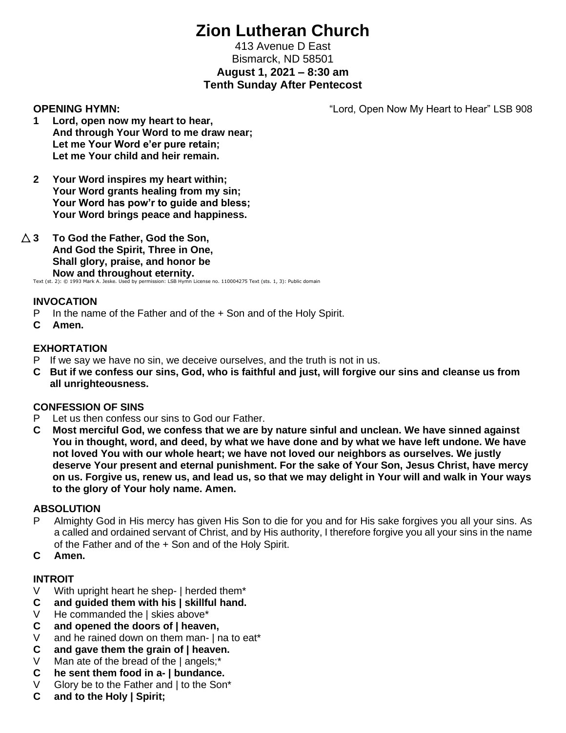# **Zion Lutheran Church**

413 Avenue D East Bismarck, ND 58501 **August 1, 2021 – 8:30 am Tenth Sunday After Pentecost**

**OPENING HYMN: COPENING HYMN: COPENING HYMN: COPENING HYMN: COPENING HYMN: COPENING HYMN: COPENING HYMN: COPENING HYMN: COPENING HYMN: COPENING HYMN: COPENING HYMN: COPENING HYMN: COPENING HYMN: C** 

- **1 Lord, open now my heart to hear, And through Your Word to me draw near; Let me Your Word e'er pure retain; Let me Your child and heir remain.**
- **2 Your Word inspires my heart within; Your Word grants healing from my sin; Your Word has pow'r to guide and bless; Your Word brings peace and happiness.**
- $\triangle$  3 To God the Father, God the Son, **And God the Spirit, Three in One, Shall glory, praise, and honor be Now and throughout eternity.**

Text (st. 2): © 1993 Mark A. Jeske. Used by permission: LSB Hymn License no. 110004275 Text (sts. 1, 3): Public domain

### **INVOCATION**

- P In the name of the Father and of the + Son and of the Holy Spirit.
- **C Amen.**

#### **EXHORTATION**

- P If we say we have no sin, we deceive ourselves, and the truth is not in us.
- **C But if we confess our sins, God, who is faithful and just, will forgive our sins and cleanse us from all unrighteousness.**

#### **CONFESSION OF SINS**

- P Let us then confess our sins to God our Father.
- **C Most merciful God, we confess that we are by nature sinful and unclean. We have sinned against You in thought, word, and deed, by what we have done and by what we have left undone. We have not loved You with our whole heart; we have not loved our neighbors as ourselves. We justly deserve Your present and eternal punishment. For the sake of Your Son, Jesus Christ, have mercy on us. Forgive us, renew us, and lead us, so that we may delight in Your will and walk in Your ways to the glory of Your holy name. Amen.**

#### **ABSOLUTION**

- P Almighty God in His mercy has given His Son to die for you and for His sake forgives you all your sins. As a called and ordained servant of Christ, and by His authority, I therefore forgive you all your sins in the name of the Father and of the + Son and of the Holy Spirit.
- **C Amen.**

#### **INTROIT**

- V With upright heart he shep- | herded them\*
- **C and guided them with his | skillful hand.**
- V He commanded the | skies above\*
- **C and opened the doors of | heaven,**
- V and he rained down on them man- | na to eat\*
- **C and gave them the grain of | heaven.**
- V Man ate of the bread of the | angels;\*
- **C he sent them food in a- | bundance.**
- V Glory be to the Father and | to the Son\*
- **C and to the Holy | Spirit;**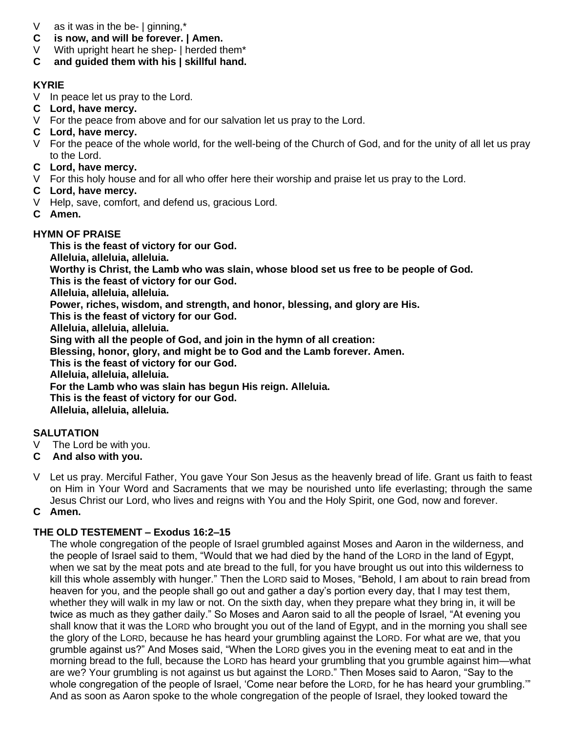- V as it was in the be-  $\vert$  ginning,\*
- **C is now, and will be forever. | Amen.**
- V With upright heart he shep- | herded them\*
- **C and guided them with his | skillful hand.**

## **KYRIE**

- V In peace let us pray to the Lord.
- **C Lord, have mercy.**
- V For the peace from above and for our salvation let us pray to the Lord.
- **C Lord, have mercy.**
- V For the peace of the whole world, for the well-being of the Church of God, and for the unity of all let us pray to the Lord.
- **C Lord, have mercy.**
- V For this holy house and for all who offer here their worship and praise let us pray to the Lord.
- **C Lord, have mercy.**
- V Help, save, comfort, and defend us, gracious Lord.
- **C Amen.**

## **HYMN OF PRAISE**

**This is the feast of victory for our God.**

**Alleluia, alleluia, alleluia.**

**Worthy is Christ, the Lamb who was slain, whose blood set us free to be people of God.**

**This is the feast of victory for our God.**

**Alleluia, alleluia, alleluia.**

**Power, riches, wisdom, and strength, and honor, blessing, and glory are His.**

**This is the feast of victory for our God.**

**Alleluia, alleluia, alleluia.**

**Sing with all the people of God, and join in the hymn of all creation:**

**Blessing, honor, glory, and might be to God and the Lamb forever. Amen.**

**This is the feast of victory for our God.**

**Alleluia, alleluia, alleluia.**

**For the Lamb who was slain has begun His reign. Alleluia.**

**This is the feast of victory for our God.**

**Alleluia, alleluia, alleluia.**

## **SALUTATION**

V The Lord be with you.

## **C And also with you.**

V Let us pray. Merciful Father, You gave Your Son Jesus as the heavenly bread of life. Grant us faith to feast on Him in Your Word and Sacraments that we may be nourished unto life everlasting; through the same Jesus Christ our Lord, who lives and reigns with You and the Holy Spirit, one God, now and forever.

## **C Amen.**

## **THE OLD TESTEMENT – Exodus 16:2–15**

The whole congregation of the people of Israel grumbled against Moses and Aaron in the wilderness, and the people of Israel said to them, "Would that we had died by the hand of the LORD in the land of Egypt, when we sat by the meat pots and ate bread to the full, for you have brought us out into this wilderness to kill this whole assembly with hunger." Then the LORD said to Moses, "Behold, I am about to rain bread from heaven for you, and the people shall go out and gather a day's portion every day, that I may test them, whether they will walk in my law or not. On the sixth day, when they prepare what they bring in, it will be twice as much as they gather daily." So Moses and Aaron said to all the people of Israel, "At evening you shall know that it was the LORD who brought you out of the land of Egypt, and in the morning you shall see the glory of the LORD, because he has heard your grumbling against the LORD. For what are we, that you grumble against us?" And Moses said, "When the LORD gives you in the evening meat to eat and in the morning bread to the full, because the LORD has heard your grumbling that you grumble against him—what are we? Your grumbling is not against us but against the LORD." Then Moses said to Aaron, "Say to the whole congregation of the people of Israel, 'Come near before the LORD, for he has heard your grumbling.'" And as soon as Aaron spoke to the whole congregation of the people of Israel, they looked toward the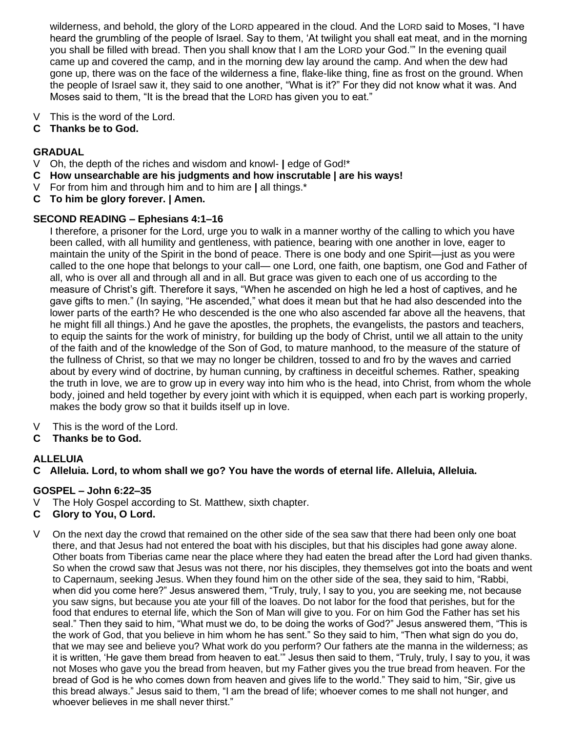wilderness, and behold, the glory of the LORD appeared in the cloud. And the LORD said to Moses, "I have heard the grumbling of the people of Israel. Say to them, 'At twilight you shall eat meat, and in the morning you shall be filled with bread. Then you shall know that I am the LORD your God.'" In the evening quail came up and covered the camp, and in the morning dew lay around the camp. And when the dew had gone up, there was on the face of the wilderness a fine, flake-like thing, fine as frost on the ground. When the people of Israel saw it, they said to one another, "What is it?" For they did not know what it was. And Moses said to them, "It is the bread that the LORD has given you to eat."

- V This is the word of the Lord.
- **C Thanks be to God.**

### **GRADUAL**

- V Oh, the depth of the riches and wisdom and knowl- **|** edge of God!\*
- **C How unsearchable are his judgments and how inscrutable | are his ways!**
- V For from him and through him and to him are **|** all things.\*
- **C To him be glory forever. | Amen.**

### **SECOND READING – Ephesians 4:1–16**

I therefore, a prisoner for the Lord, urge you to walk in a manner worthy of the calling to which you have been called, with all humility and gentleness, with patience, bearing with one another in love, eager to maintain the unity of the Spirit in the bond of peace. There is one body and one Spirit—just as you were called to the one hope that belongs to your call— one Lord, one faith, one baptism, one God and Father of all, who is over all and through all and in all. But grace was given to each one of us according to the measure of Christ's gift. Therefore it says, "When he ascended on high he led a host of captives, and he gave gifts to men." (In saying, "He ascended," what does it mean but that he had also descended into the lower parts of the earth? He who descended is the one who also ascended far above all the heavens, that he might fill all things.) And he gave the apostles, the prophets, the evangelists, the pastors and teachers, to equip the saints for the work of ministry, for building up the body of Christ, until we all attain to the unity of the faith and of the knowledge of the Son of God, to mature manhood, to the measure of the stature of the fullness of Christ, so that we may no longer be children, tossed to and fro by the waves and carried about by every wind of doctrine, by human cunning, by craftiness in deceitful schemes. Rather, speaking the truth in love, we are to grow up in every way into him who is the head, into Christ, from whom the whole body, joined and held together by every joint with which it is equipped, when each part is working properly, makes the body grow so that it builds itself up in love.

- V This is the word of the Lord.
- **C Thanks be to God.**

### **ALLELUIA**

**C Alleluia. Lord, to whom shall we go? You have the words of eternal life. Alleluia, Alleluia.**

#### **GOSPEL – John 6:22–35**

- V The Holy Gospel according to St. Matthew, sixth chapter.
- **C Glory to You, O Lord.**
- V On the next day the crowd that remained on the other side of the sea saw that there had been only one boat there, and that Jesus had not entered the boat with his disciples, but that his disciples had gone away alone. Other boats from Tiberias came near the place where they had eaten the bread after the Lord had given thanks. So when the crowd saw that Jesus was not there, nor his disciples, they themselves got into the boats and went to Capernaum, seeking Jesus. When they found him on the other side of the sea, they said to him, "Rabbi, when did you come here?" Jesus answered them, "Truly, truly, I say to you, you are seeking me, not because you saw signs, but because you ate your fill of the loaves. Do not labor for the food that perishes, but for the food that endures to eternal life, which the Son of Man will give to you. For on him God the Father has set his seal." Then they said to him, "What must we do, to be doing the works of God?" Jesus answered them, "This is the work of God, that you believe in him whom he has sent." So they said to him, "Then what sign do you do, that we may see and believe you? What work do you perform? Our fathers ate the manna in the wilderness; as it is written, 'He gave them bread from heaven to eat.'" Jesus then said to them, "Truly, truly, I say to you, it was not Moses who gave you the bread from heaven, but my Father gives you the true bread from heaven. For the bread of God is he who comes down from heaven and gives life to the world." They said to him, "Sir, give us this bread always." Jesus said to them, "I am the bread of life; whoever comes to me shall not hunger, and whoever believes in me shall never thirst."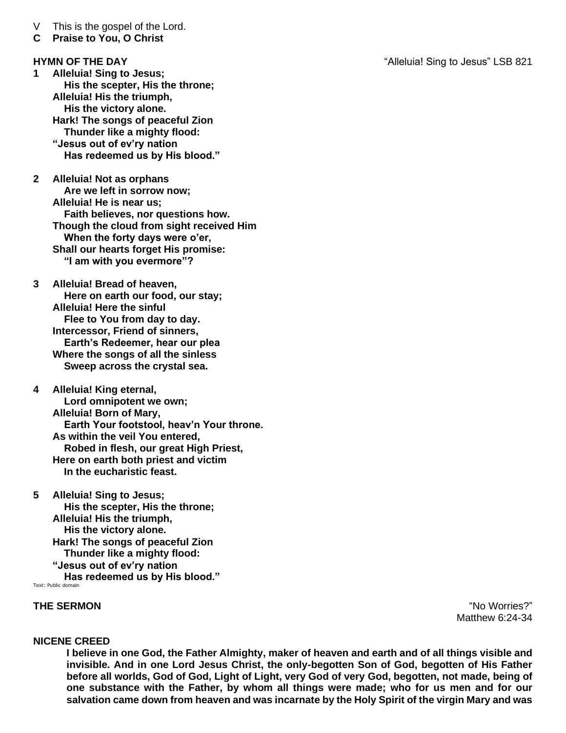- V This is the gospel of the Lord.
- **C Praise to You, O Christ**

**1 Alleluia! Sing to Jesus; His the scepter, His the throne; Alleluia! His the triumph, His the victory alone. Hark! The songs of peaceful Zion Thunder like a mighty flood: "Jesus out of ev'ry nation Has redeemed us by His blood."**

**2 Alleluia! Not as orphans Are we left in sorrow now; Alleluia! He is near us; Faith believes, nor questions how. Though the cloud from sight received Him When the forty days were o'er, Shall our hearts forget His promise: "I am with you evermore"?**

**3 Alleluia! Bread of heaven, Here on earth our food, our stay; Alleluia! Here the sinful Flee to You from day to day. Intercessor, Friend of sinners, Earth's Redeemer, hear our plea Where the songs of all the sinless Sweep across the crystal sea.**

**4 Alleluia! King eternal, Lord omnipotent we own; Alleluia! Born of Mary, Earth Your footstool, heav'n Your throne. As within the veil You entered, Robed in flesh, our great High Priest, Here on earth both priest and victim In the eucharistic feast.**

**5 Alleluia! Sing to Jesus; His the scepter, His the throne; Alleluia! His the triumph, His the victory alone. Hark! The songs of peaceful Zion Thunder like a mighty flood: "Jesus out of ev'ry nation Has redeemed us by His blood."** Text: Public domain

**THE SERMON CONSUMING THE SERMON THE SERMON** Matthew 6:24-34

#### **NICENE CREED**

**I believe in one God, the Father Almighty, maker of heaven and earth and of all things visible and invisible. And in one Lord Jesus Christ, the only-begotten Son of God, begotten of His Father before all worlds, God of God, Light of Light, very God of very God, begotten, not made, being of one substance with the Father, by whom all things were made; who for us men and for our salvation came down from heaven and was incarnate by the Holy Spirit of the virgin Mary and was** 

**HYMN OF THE DAY** THE **DAY** THE **DAY** THE **ALLOWSE AND THE SET ALLOWSED ASSESSED ASSESSED ASSESSED ASSESSED ASSESSED ASSESSED ASSESSED ASSESSED ASSESSED AND THE SET AND THE SET ALLOWSED ASSESSED ASSESSED ASSESSED ASSESSED**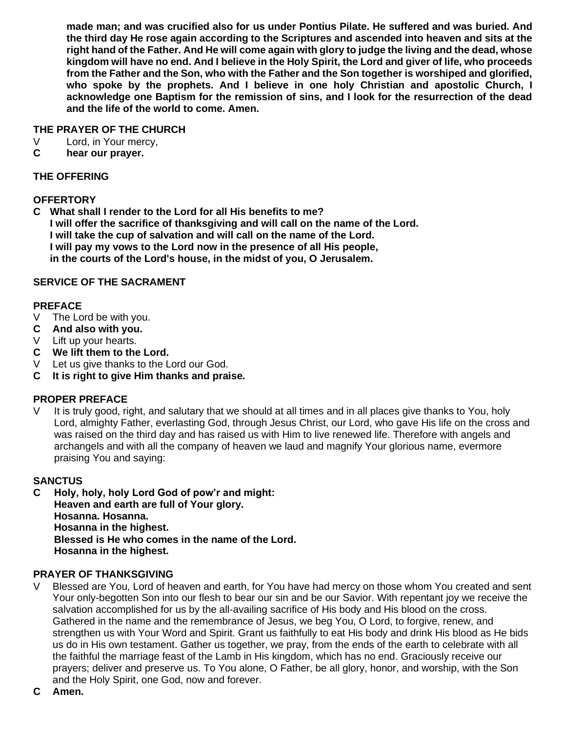**made man; and was crucified also for us under Pontius Pilate. He suffered and was buried. And the third day He rose again according to the Scriptures and ascended into heaven and sits at the right hand of the Father. And He will come again with glory to judge the living and the dead, whose kingdom will have no end. And I believe in the Holy Spirit, the Lord and giver of life, who proceeds from the Father and the Son, who with the Father and the Son together is worshiped and glorified, who spoke by the prophets. And I believe in one holy Christian and apostolic Church, I acknowledge one Baptism for the remission of sins, and I look for the resurrection of the dead and the life of the world to come. Amen.**

### **THE PRAYER OF THE CHURCH**

- V Lord, in Your mercy,
- **C hear our prayer.**

### **THE OFFERING**

#### **OFFERTORY**

**C What shall I render to the Lord for all His benefits to me? I will offer the sacrifice of thanksgiving and will call on the name of the Lord. I will take the cup of salvation and will call on the name of the Lord. I will pay my vows to the Lord now in the presence of all His people, in the courts of the Lord's house, in the midst of you, O Jerusalem.**

### **SERVICE OF THE SACRAMENT**

#### **PREFACE**

- V The Lord be with you.
- **C And also with you.**
- V Lift up your hearts.
- **C We lift them to the Lord.**
- V Let us give thanks to the Lord our God.
- **C It is right to give Him thanks and praise.**

#### **PROPER PREFACE**

It is truly good, right, and salutary that we should at all times and in all places give thanks to You, holy Lord, almighty Father, everlasting God, through Jesus Christ, our Lord, who gave His life on the cross and was raised on the third day and has raised us with Him to live renewed life. Therefore with angels and archangels and with all the company of heaven we laud and magnify Your glorious name, evermore praising You and saying:

#### **SANCTUS**

**C Holy, holy, holy Lord God of pow'r and might: Heaven and earth are full of Your glory. Hosanna. Hosanna. Hosanna in the highest. Blessed is He who comes in the name of the Lord. Hosanna in the highest.**

### **PRAYER OF THANKSGIVING**

- Blessed are You, Lord of heaven and earth, for You have had mercy on those whom You created and sent Your only-begotten Son into our flesh to bear our sin and be our Savior. With repentant joy we receive the salvation accomplished for us by the all-availing sacrifice of His body and His blood on the cross. Gathered in the name and the remembrance of Jesus, we beg You, O Lord, to forgive, renew, and strengthen us with Your Word and Spirit. Grant us faithfully to eat His body and drink His blood as He bids us do in His own testament. Gather us together, we pray, from the ends of the earth to celebrate with all the faithful the marriage feast of the Lamb in His kingdom, which has no end. Graciously receive our prayers; deliver and preserve us. To You alone, O Father, be all glory, honor, and worship, with the Son and the Holy Spirit, one God, now and forever.
- **C Amen.**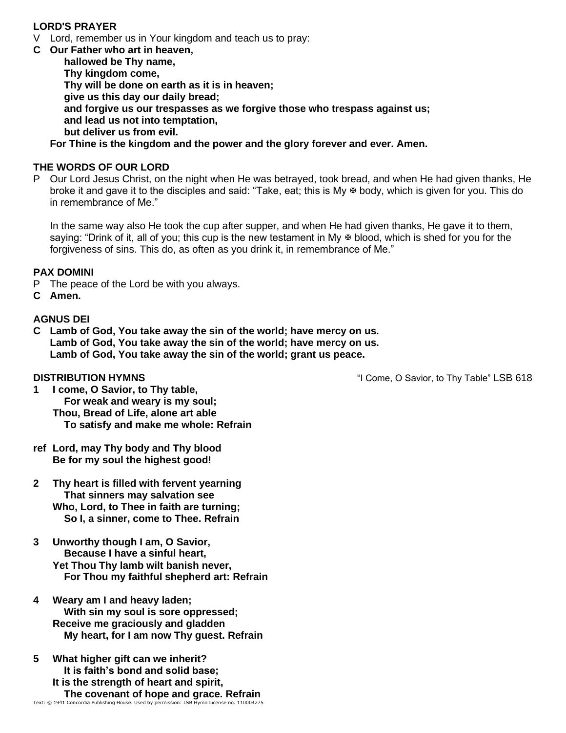#### **LORD'S PRAYER**

V Lord, remember us in Your kingdom and teach us to pray:

**C Our Father who art in heaven, hallowed be Thy name, Thy kingdom come, Thy will be done on earth as it is in heaven; give us this day our daily bread; and forgive us our trespasses as we forgive those who trespass against us; and lead us not into temptation, but deliver us from evil.**

**For Thine is the kingdom and the power and the glory forever and ever. Amen.**

#### **THE WORDS OF OUR LORD**

P Our Lord Jesus Christ, on the night when He was betrayed, took bread, and when He had given thanks, He broke it and gave it to the disciples and said: "Take, eat; this is My  $\Phi$  body, which is given for you. This do in remembrance of Me."

In the same way also He took the cup after supper, and when He had given thanks, He gave it to them, saying: "Drink of it, all of you; this cup is the new testament in My  $\Phi$  blood, which is shed for you for the forgiveness of sins. This do, as often as you drink it, in remembrance of Me."

#### **PAX DOMINI**

- P The peace of the Lord be with you always.
- **C Amen.**

#### **AGNUS DEI**

**C Lamb of God, You take away the sin of the world; have mercy on us. Lamb of God, You take away the sin of the world; have mercy on us. Lamb of God, You take away the sin of the world; grant us peace.**

**DISTRIBUTION HYMNS DISTRIBUTION HYMNS IDISTRIBUTION HYMNS COMELGY 1** Come, O Savior, to Thy Table" LSB 618

- **1 I come, O Savior, to Thy table, For weak and weary is my soul; Thou, Bread of Life, alone art able To satisfy and make me whole: Refrain**
- **ref Lord, may Thy body and Thy blood Be for my soul the highest good!**
- **2 Thy heart is filled with fervent yearning That sinners may salvation see Who, Lord, to Thee in faith are turning; So I, a sinner, come to Thee. Refrain**
- **3 Unworthy though I am, O Savior, Because I have a sinful heart, Yet Thou Thy lamb wilt banish never, For Thou my faithful shepherd art: Refrain**
- **4 Weary am I and heavy laden; With sin my soul is sore oppressed; Receive me graciously and gladden My heart, for I am now Thy guest. Refrain**
- **5 What higher gift can we inherit? It is faith's bond and solid base; It is the strength of heart and spirit, The covenant of hope and grace. Refrain** Text: © 1941 Concordia Publishing House. Used by permission: LSB Hymn License no. 110004275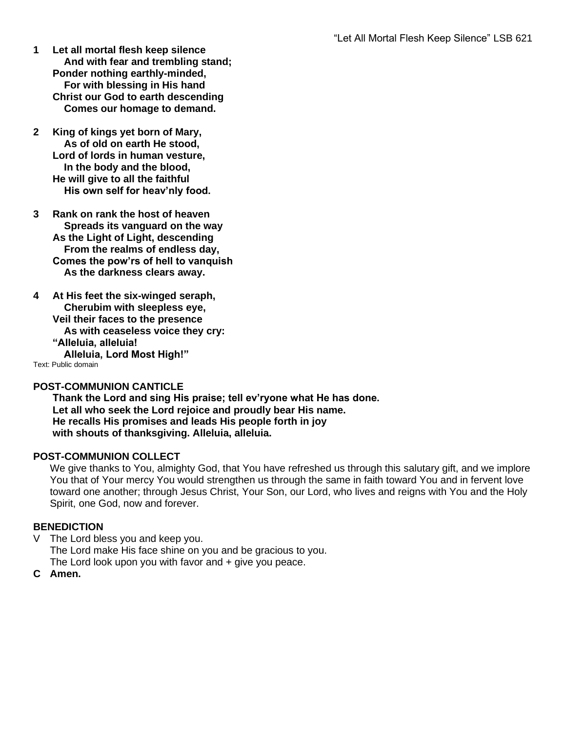- **1 Let all mortal flesh keep silence And with fear and trembling stand; Ponder nothing earthly-minded, For with blessing in His hand Christ our God to earth descending Comes our homage to demand.**
- **2 King of kings yet born of Mary, As of old on earth He stood, Lord of lords in human vesture, In the body and the blood, He will give to all the faithful His own self for heav'nly food.**
- **3 Rank on rank the host of heaven Spreads its vanguard on the way As the Light of Light, descending From the realms of endless day, Comes the pow'rs of hell to vanquish As the darkness clears away.**
- **4 At His feet the six-winged seraph, Cherubim with sleepless eye, Veil their faces to the presence As with ceaseless voice they cry: "Alleluia, alleluia! Alleluia, Lord Most High!"**

Text: Public domain

#### **POST-COMMUNION CANTICLE**

**Thank the Lord and sing His praise; tell ev'ryone what He has done. Let all who seek the Lord rejoice and proudly bear His name. He recalls His promises and leads His people forth in joy with shouts of thanksgiving. Alleluia, alleluia.**

#### **POST-COMMUNION COLLECT**

We give thanks to You, almighty God, that You have refreshed us through this salutary gift, and we implore You that of Your mercy You would strengthen us through the same in faith toward You and in fervent love toward one another; through Jesus Christ, Your Son, our Lord, who lives and reigns with You and the Holy Spirit, one God, now and forever.

#### **BENEDICTION**

The Lord bless you and keep you. The Lord make His face shine on you and be gracious to you. The Lord look upon you with favor and + give you peace.

#### **C Amen.**